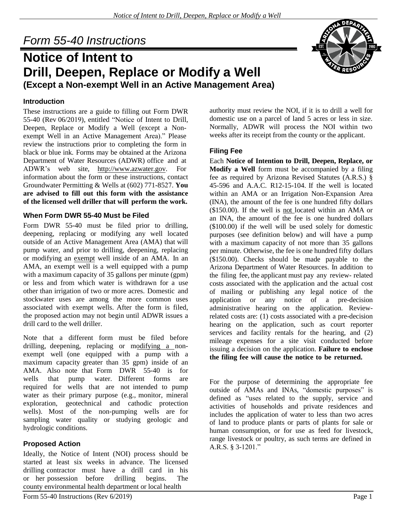# *Form 55-40 Instructions*

# **Notice of Intent to Drill, Deepen, Replace or Modify a Well (Except a Non-exempt Well in an Active Management Area)**

# **Introduction**

These instructions are a guide to filling out Form DWR 55-40 (Rev 06/2019), entitled "Notice of Intent to Drill, Deepen, Replace or Modify a Well (except a Nonexempt Well in an Active Management Area)." Please review the instructions prior to completing the form in black or blue ink. Forms may be obtained at the Arizona Department of Water Resources (ADWR) office and at ADWR's web site, [http://www.azwater.gov.](http://www.azwater.gov/) For information about the form or these instructions, contact Groundwater Permitting & Wells at (602) 771-8527. **You are advised to fill out this form with the assistance of the licensed well driller that will perform the work.**

# **When Form DWR 55-40 Must be Filed**

Form DWR 55-40 must be filed prior to drilling, deepening, replacing or modifying any well located outside of an Active Management Area (AMA) that will pump water, and prior to drilling, deepening, replacing or modifying an exempt well inside of an AMA. In an AMA, an exempt well is a well equipped with a pump with a maximum capacity of 35 gallons per minute (gpm) or less and from which water is withdrawn for a use other than irrigation of two or more acres. Domestic and stockwater uses are among the more common uses associated with exempt wells. After the form is filed, the proposed action may not begin until ADWR issues a drill card to the well driller.

Note that a different form must be filed before drilling, deepening, replacing or modifying a nonexempt well (one equipped with a pump with a maximum capacity greater than 35 gpm) inside of an AMA. Also note that Form DWR 55-40 is for wells that pump water. Different forms are required for wells that are not intended to pump water as their primary purpose (e.g., monitor, mineral exploration, geotechnical and cathodic protection wells). Most of the non-pumping wells are for sampling water quality or studying geologic and hydrologic conditions.

# **Proposed Action**

Ideally, the Notice of Intent (NOI) process should be started at least six weeks in advance. The licensed drilling contractor must have a drill card in his or her possession before drilling begins. The county environmental health department or local health

authority must review the NOI, if it is to drill a well for domestic use on a parcel of land 5 acres or less in size. Normally, ADWR will process the NOI within two weeks after its receipt from the county or the applicant.

# **Filing Fee**

Each **Notice of Intention to Drill, Deepen, Replace, or Modify a Well** form must be accompanied by a filing fee as required by Arizona Revised Statutes (A.R.S.) § 45-596 and A.A.C. R12-15-104. If the well is located within an AMA or an Irrigation Non-Expansion Area (INA), the amount of the fee is one hundred fifty dollars (\$150.00). If the well is not located within an AMA or an INA, the amount of the fee is one hundred dollars (\$100.00) if the well will be used solely for domestic purposes (see definition below) and will have a pump with a maximum capacity of not more than 35 gallons per minute. Otherwise, the fee is one hundred fifty dollars (\$150.00). Checks should be made payable to the Arizona Department of Water Resources. In addition to the filing fee, the applicant must pay any review- related costs associated with the application and the actual cost of mailing or publishing any legal notice of the application or any notice of a pre-decision administrative hearing on the application. Reviewrelated costs are: (1) costs associated with a pre-decision hearing on the application, such as court reporter services and facility rentals for the hearing, and (2) mileage expenses for a site visit conducted before issuing a decision on the application. **Failure to enclose the filing fee will cause the notice to be returned.**

For the purpose of determining the appropriate fee outside of AMAs and INAs, "domestic purposes" is defined as "uses related to the supply, service and activities of households and private residences and includes the application of water to less than two acres of land to produce plants or parts of plants for sale or human consumption, or for use as feed for livestock, range livestock or poultry, as such terms are defined in A.R.S. § 3-1201."

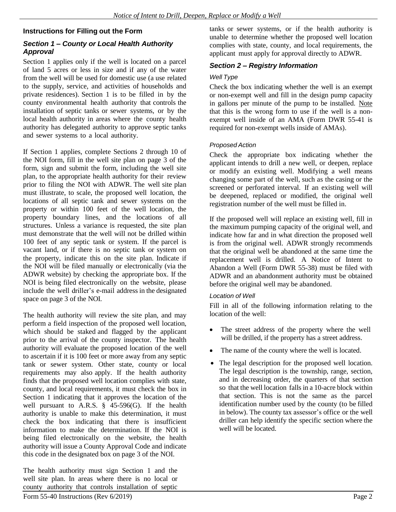# **Instructions for Filling out the Form**

#### *Section 1 – County or Local Health Authority Approval*

Section 1 applies only if the well is located on a parcel of land 5 acres or less in size and if any of the water from the well will be used for domestic use (a use related to the supply, service, and activities of households and private residences). Section 1 is to be filled in by the county environmental health authority that controls the installation of septic tanks or sewer systems, or by the local health authority in areas where the county health authority has delegated authority to approve septic tanks and sewer systems to a local authority.

If Section 1 applies, complete Sections 2 through 10 of the NOI form, fill in the well site plan on page 3 of the form, sign and submit the form, including the well site plan, to the appropriate health authority for their review prior to filing the NOI with ADWR. The well site plan must illustrate, to scale, the proposed well location, the locations of all septic tank and sewer systems on the property or within 100 feet of the well location, the property boundary lines, and the locations of all structures. Unless a variance is requested, the site plan must demonstrate that the well will not be drilled within 100 feet of any septic tank or system. If the parcel is vacant land, or if there is no septic tank or system on the property, indicate this on the site plan. Indicate if the NOI will be filed manually or electronically (via the ADWR website) by checking the appropriate box. If the NOI is being filed electronically on the website, please include the well driller's e-mail address in the designated space on page 3 of the NOI.

The health authority will review the site plan, and may perform a field inspection of the proposed well location, which should be staked and flagged by the applicant prior to the arrival of the county inspector. The health authority will evaluate the proposed location of the well to ascertain if it is 100 feet or more away from any septic tank or sewer system. Other state, county or local requirements may also apply. If the health authority finds that the proposed well location complies with state, county, and local requirements, it must check the box in Section 1 indicating that it approves the location of the well pursuant to A.R.S. § 45-596(G). If the health authority is unable to make this determination, it must check the box indicating that there is insufficient information to make the determination. If the NOI is being filed electronically on the website, the health authority will issue a County Approval Code and indicate this code in the designated box on page 3 of the NOI.

The health authority must sign Section 1 and the well site plan. In areas where there is no local or county authority that controls installation of septic tanks or sewer systems, or if the health authority is unable to determine whether the proposed well location complies with state, county, and local requirements, the applicant must apply for approval directly to ADWR.

# *Section 2 – Registry Information*

#### *Well Type*

Check the box indicating whether the well is an exempt or non-exempt well and fill in the design pump capacity in gallons per minute of the pump to be installed. Note that this is the wrong form to use if the well is a nonexempt well inside of an AMA (Form DWR 55-41 is required for non-exempt wells inside of AMAs).

#### *Proposed Action*

Check the appropriate box indicating whether the applicant intends to drill a new well, or deepen, replace or modify an existing well. Modifying a well means changing some part of the well, such as the casing or the screened or perforated interval. If an existing well will be deepened, replaced or modified, the original well registration number of the well must be filled in.

If the proposed well will replace an existing well, fill in the maximum pumping capacity of the original well, and indicate how far and in what direction the proposed well is from the original well. ADWR strongly recommends that the original well be abandoned at the same time the replacement well is drilled. A Notice of Intent to Abandon a Well (Form DWR 55-38) must be filed with ADWR and an abandonment authority must be obtained before the original well may be abandoned.

#### *Location of Well*

Fill in all of the following information relating to the location of the well:

- The street address of the property where the well will be drilled, if the property has a street address.
- The name of the county where the well is located.
- The legal description for the proposed well location. The legal description is the township, range, section, and in decreasing order, the quarters of that section so that the well location falls in a 10-acre block within that section. This is not the same as the parcel identification number used by the county (to be filled in below). The county tax assessor's office or the well driller can help identify the specific section where the well will be located.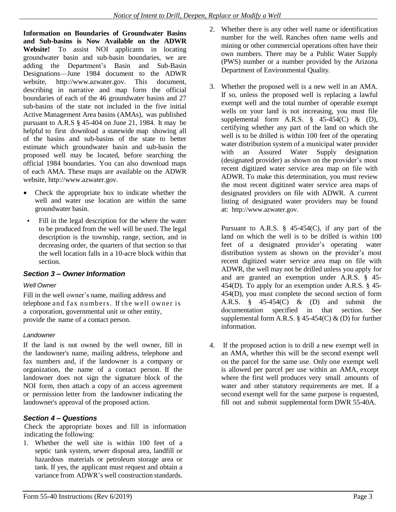**Information on Boundaries of Groundwater Basins and Sub-basins is Now Available on the ADWR Website!** To assist NOI applicants in locating groundwater basin and sub-basin boundaries, we are adding the Department's Basin and Sub-Basin Designations—June 1984 document to the ADWR website, [http://www.azwater.gov.](http://www.azwater.gov/) This document, describing in narrative and map form the official boundaries of each of the 46 groundwater basins and 27 sub-basins of the state not included in the five initial Active Management Area basins (AMAs), was published pursuant to A.R.S § 45-404 on June 21, 1984. It may be helpful to first download a statewide map showing all of the basins and sub-basins of the state to better estimate which groundwater basin and sub-basin the proposed well may be located, before searching the official 1984 boundaries. You can also download maps of each AMA. These maps are available on the ADWR website[, http://www.azwater.gov.](http://www.azwater.gov/)

- Check the appropriate box to indicate whether the  $\bullet$ well and water use location are within the same groundwater basin.
- Fill in the legal description for the where the water to be produced from the well will be used. The legal description is the township, range, section, and in decreasing order, the quarters of that section so that the well location falls in a 10-acre block within that section.

# *Section 3 – Owner Information*

#### *Well Owner*

Fill in the well owner's name, mailing address and telephone and fax numbers. If the well owner is a corporation, governmental unit or other entity, provide the name of a contact person.

#### *Landowner*

If the land is not owned by the well owner, fill in the landowner's name, mailing address, telephone and fax numbers and, if the landowner is a company or organization, the name of a contact person. If the landowner does not sign the signature block of the NOI form, then attach a copy of an access agreement or permission letter from the landowner indicating the landowner's approval of the proposed action.

# *Section 4 – Questions*

Check the appropriate boxes and fill in information indicating the following:

1. Whether the well site is within 100 feet of a septic tank system, sewer disposal area, landfill or hazardous materials or petroleum storage area or tank. If yes, the applicant must request and obtain a variance from ADWR's well construction standards.

- 2. Whether there is any other well name or identification number for the well. Ranches often name wells and mining or other commercial operations often have their own numbers. There may be a Public Water Supply (PWS) number or a number provided by the Arizona Department of Environmental Quality.
- 3. Whether the proposed well is a new well in an AMA. If so, unless the proposed well is replacing a lawful exempt well and the total number of operable exempt wells on your land is not increasing, you must file supplemental form A.R.S.  $\frac{8}{9}$  45-454(C) & (D), certifying whether any part of the land on which the well is to be drilled is within 100 feet of the operating water distribution system of a municipal water provider with an Assured Water Supply designation (designated provider) as shown on the provider's most recent digitized water service area map on file with ADWR. To make this determination, you must review the most recent digitized water service area maps of designated providers on file with ADWR. A current listing of designated water providers may be found at: [http://www.azwater.gov.](http://www.azwater.gov/)

Pursuant to A.R.S.  $\S$  45-454(C), if any part of the land on which the well is to be drilled is within 100 feet of a designated provider's operating water distribution system as shown on the provider's most recent digitized water service area map on file with ADWR, the well may not be drilled unless you apply for and are granted an exemption under A.R.S. § 45- 454(D). To apply for an exemption under A.R.S. § 45- 454(D), you must complete the second section of form A.R.S. § 45-454(C) & (D) and submit the documentation specified in that section. See supplemental form A.R.S.  $\S$  45-454(C) & (D) for further information.

4. If the proposed action is to drill a new exempt well in an AMA, whether this will be the second exempt well on the parcel for the same use. Only one exempt well is allowed per parcel per use within an AMA, except where the first well produces very small amounts of water and other statutory requirements are met. If a second exempt well for the same purpose is requested, fill out and submit supplemental form DWR 55-40A.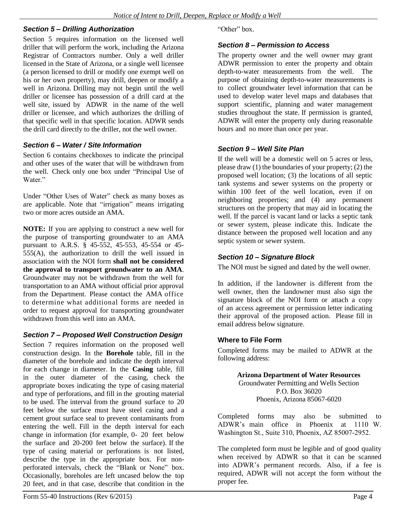#### *Section 5 – Drilling Authorization*

Section 5 requires information on the licensed well driller that will perform the work, including the Arizona Registrar of Contractors number. Only a well driller licensed in the State of Arizona, or a single well licensee (a person licensed to drill or modify one exempt well on his or her own property), may drill, deepen or modify a well in Arizona. Drilling may not begin until the well driller or licensee has possession of a drill card at the well site, issued by ADWR in the name of the well driller or licensee, and which authorizes the drilling of that specific well in that specific location. ADWR sends the drill card directly to the driller, not the well owner.

#### *Section 6 – Water / Site Information*

Section 6 contains checkboxes to indicate the principal and other uses of the water that will be withdrawn from the well. Check only one box under "Principal Use of Water"

Under "Other Uses of Water" check as many boxes as are applicable. Note that "irrigation" means irrigating two or more acres outside an AMA.

**NOTE:** If you are applying to construct a new well for the purpose of transporting groundwater to an AMA pursuant to A.R.S. § 45-552, 45-553, 45-554 or 45- 555(A), the authorization to drill the well issued in association with the NOI form **shall not be considered the approval to transport groundwater to an AMA**. Groundwater may not be withdrawn from the well for transportation to an AMA without official prior approval from the Department. Please contact the AMA office to determine what additional forms are needed in order to request approval for transporting groundwater withdrawn from this well into an AMA.

#### *Section 7 – Proposed Well Construction Design*

Section 7 requires information on the proposed well construction design. In the **Borehole** table, fill in the diameter of the borehole and indicate the depth interval for each change in diameter. In the **Casing** table, fill in the outer diameter of the casing, check the appropriate boxes indicating the type of casing material and type of perforations, and fill in the grouting material to be used. The interval from the ground surface to 20 feet below the surface must have steel casing and a cement grout surface seal to prevent contaminants from entering the well. Fill in the depth interval for each change in information (for example, 0- 20 feet below the surface and 20-200 feet below the surface). If the type of casing material or perforations is not listed, describe the type in the appropriate box. For nonperforated intervals, check the "Blank or None" box. Occasionally, boreholes are left uncased below the top 20 feet, and in that case, describe that condition in the

"Other" box.

#### *Section 8 – Permission to Access*

The property owner and the well owner may grant ADWR permission to enter the property and obtain depth-to-water measurements from the well. The purpose of obtaining depth-to-water measurements is to collect groundwater level information that can be used to develop water level maps and databases that support scientific, planning and water management studies throughout the state. If permission is granted, ADWR will enter the property only during reasonable hours and no more than once per year.

# *Section 9 – Well Site Plan*

If the well will be a domestic well on 5 acres or less, please draw (1) the boundaries of your property; (2) the proposed well location; (3) the locations of all septic tank systems and sewer systems on the property or within 100 feet of the well location, even if on neighboring properties; and (4) any permanent structures on the property that may aid in locating the well. If the parcel is vacant land or lacks a septic tank or sewer system, please indicate this. Indicate the distance between the proposed well location and any septic system or sewer system.

#### *Section 10 – Signature Block*

The NOI must be signed and dated by the well owner.

In addition, if the landowner is different from the well owner, then the landowner must also sign the signature block of the NOI form or attach a copy of an access agreement or permission letter indicating their approval of the proposed action. Please fill in email address below signature.

#### **Where to File Form**

Completed forms may be mailed to ADWR at the following address:

> **Arizona Department of Water Resources** Groundwater Permitting and Wells Section P.O. Box 36020 Phoenix, Arizona 85067-6020

Completed forms may also be submitted to ADWR's main office in Phoenix at 1110 W. Washington St., Suite 310, Phoenix, AZ 85007-2952.

The completed form must be legible and of good quality when received by ADWR so that it can be scanned into ADWR's permanent records. Also, if a fee is required, ADWR will not accept the form without the proper fee.